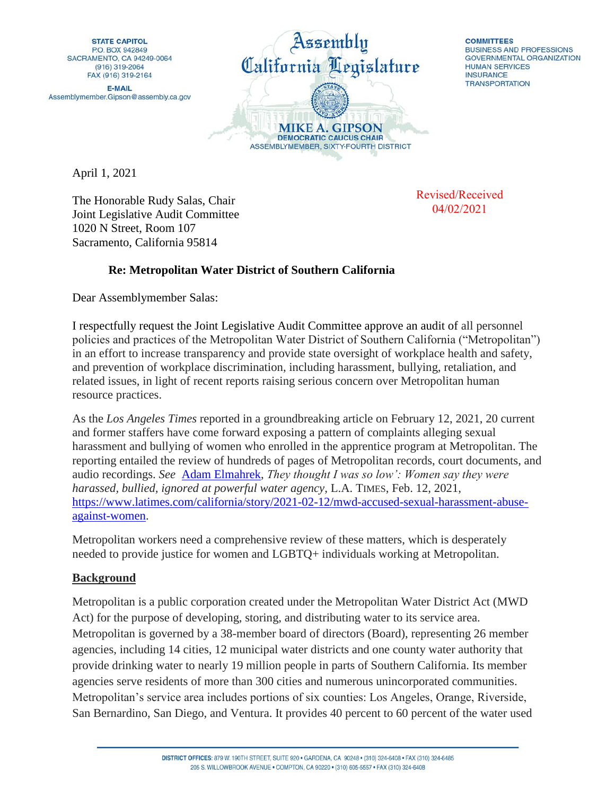

**COMMITTEES BUSINESS AND PROFESSIONS GOVERNMENTAL ORGANIZATION HUMAN SERVICES INSURANCE TRANSPORTATION** 

April 1, 2021

The Honorable Rudy Salas, Chair Joint Legislative Audit Committee 1020 N Street, Room 107 Sacramento, California 95814

Revised/Received 04/02/2021

## **Re: Metropolitan Water District of Southern California**

Dear Assemblymember Salas:

I respectfully request the Joint Legislative Audit Committee approve an audit of all personnel policies and practices of the Metropolitan Water District of Southern California ("Metropolitan") in an effort to increase transparency and provide state oversight of workplace health and safety, and prevention of workplace discrimination, including harassment, bullying, retaliation, and related issues, in light of recent reports raising serious concern over Metropolitan human resource practices.

As the *Los Angeles Times* reported in a groundbreaking article on February 12, 2021, 20 current and former staffers have come forward exposing a pattern of complaints alleging sexual harassment and bullying of women who enrolled in the apprentice program at Metropolitan. The reporting entailed the review of hundreds of pages of Metropolitan records, court documents, and audio recordings. *See* [Adam Elmahrek,](https://www.latimes.com/people/adam-elmahrek) *They thought I was so low': Women say they were harassed, bullied, ignored at powerful water agency*, L.A. TIMES, Feb. 12, 2021, [https://www.latimes.com/california/story/2021-02-12/mwd-accused-sexual-harassment-abuse](https://www.latimes.com/california/story/2021-02-12/mwd-accused-sexual-harassment-abuse-against-women)[against-women.](https://www.latimes.com/california/story/2021-02-12/mwd-accused-sexual-harassment-abuse-against-women)

Metropolitan workers need a comprehensive review of these matters, which is desperately needed to provide justice for women and LGBTQ+ individuals working at Metropolitan.

## **Background**

Metropolitan is a public corporation created under the Metropolitan Water District Act (MWD Act) for the purpose of developing, storing, and distributing water to its service area. Metropolitan is governed by a 38-member board of directors (Board), representing 26 member agencies, including 14 cities, 12 municipal water districts and one county water authority that provide drinking water to nearly 19 million people in parts of Southern California. Its member agencies serve residents of more than 300 cities and numerous unincorporated communities. Metropolitan's service area includes portions of six counties: Los Angeles, Orange, Riverside, San Bernardino, San Diego, and Ventura. It provides 40 percent to 60 percent of the water used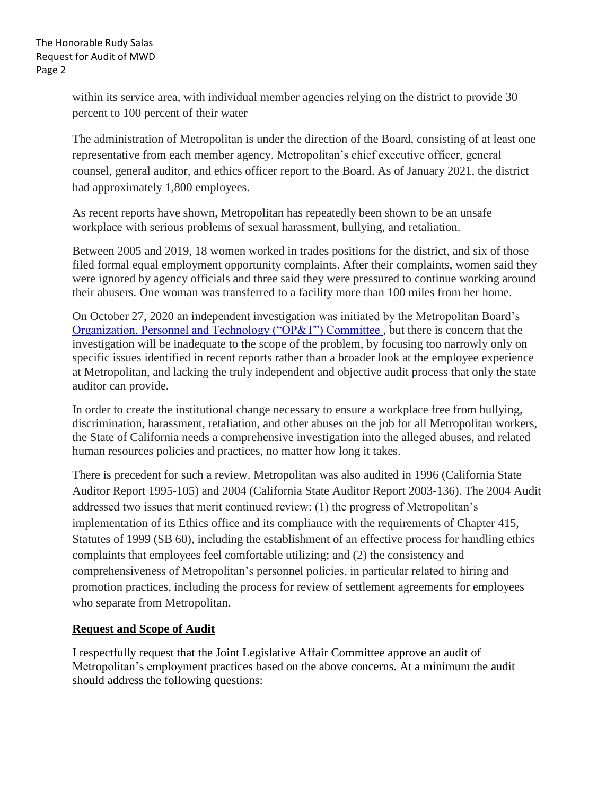within its service area, with individual member agencies relying on the district to provide 30 percent to 100 percent of their water

The administration of Metropolitan is under the direction of the Board, consisting of at least one representative from each member agency. Metropolitan's chief executive officer, general counsel, general auditor, and ethics officer report to the Board. As of January 2021, the district had approximately 1,800 employees.

As recent reports have shown, Metropolitan has repeatedly been shown to be an unsafe workplace with serious problems of sexual harassment, bullying, and retaliation.

Between 2005 and 2019, 18 women worked in trades positions for the district, and six of those filed formal equal employment opportunity complaints. After their complaints, women said they were ignored by agency officials and three said they were pressured to continue working around their abusers. One woman was transferred to a facility more than 100 miles from her home.

On October 27, 2020 an independent investigation was initiated by the Metropolitan Board's [Organization, Personnel and Technology \("OP&T"\) Committee ,](http://mwdh2o.granicus.com/MediaPlayer.php?view_id=21&clip_id=4923) but there is concern that the investigation will be inadequate to the scope of the problem, by focusing too narrowly only on specific issues identified in recent reports rather than a broader look at the employee experience at Metropolitan, and lacking the truly independent and objective audit process that only the state auditor can provide.

In order to create the institutional change necessary to ensure a workplace free from bullying, discrimination, harassment, retaliation, and other abuses on the job for all Metropolitan workers, the State of California needs a comprehensive investigation into the alleged abuses, and related human resources policies and practices, no matter how long it takes.

There is precedent for such a review. Metropolitan was also audited in 1996 (California State Auditor Report 1995-105) and 2004 (California State Auditor Report 2003-136). The 2004 Audit addressed two issues that merit continued review: (1) the progress of Metropolitan's implementation of its Ethics office and its compliance with the requirements of Chapter 415, Statutes of 1999 (SB 60), including the establishment of an effective process for handling ethics complaints that employees feel comfortable utilizing; and (2) the consistency and comprehensiveness of Metropolitan's personnel policies, in particular related to hiring and promotion practices, including the process for review of settlement agreements for employees who separate from Metropolitan.

## **Request and Scope of Audit**

I respectfully request that the Joint Legislative Affair Committee approve an audit of Metropolitan's employment practices based on the above concerns. At a minimum the audit should address the following questions: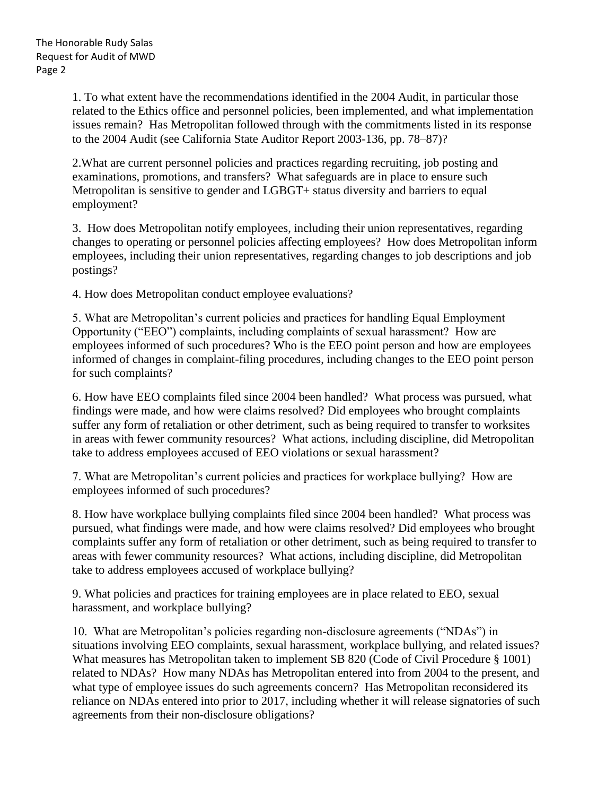1. To what extent have the recommendations identified in the 2004 Audit, in particular those related to the Ethics office and personnel policies, been implemented, and what implementation issues remain? Has Metropolitan followed through with the commitments listed in its response to the 2004 Audit (see California State Auditor Report 2003-136, pp. 78–87)?

2.What are current personnel policies and practices regarding recruiting, job posting and examinations, promotions, and transfers? What safeguards are in place to ensure such Metropolitan is sensitive to gender and LGBGT+ status diversity and barriers to equal employment?

3. How does Metropolitan notify employees, including their union representatives, regarding changes to operating or personnel policies affecting employees? How does Metropolitan inform employees, including their union representatives, regarding changes to job descriptions and job postings?

4. How does Metropolitan conduct employee evaluations?

5. What are Metropolitan's current policies and practices for handling Equal Employment Opportunity ("EEO") complaints, including complaints of sexual harassment? How are employees informed of such procedures? Who is the EEO point person and how are employees informed of changes in complaint-filing procedures, including changes to the EEO point person for such complaints?

6. How have EEO complaints filed since 2004 been handled? What process was pursued, what findings were made, and how were claims resolved? Did employees who brought complaints suffer any form of retaliation or other detriment, such as being required to transfer to worksites in areas with fewer community resources? What actions, including discipline, did Metropolitan take to address employees accused of EEO violations or sexual harassment?

7. What are Metropolitan's current policies and practices for workplace bullying? How are employees informed of such procedures?

8. How have workplace bullying complaints filed since 2004 been handled? What process was pursued, what findings were made, and how were claims resolved? Did employees who brought complaints suffer any form of retaliation or other detriment, such as being required to transfer to areas with fewer community resources? What actions, including discipline, did Metropolitan take to address employees accused of workplace bullying?

9. What policies and practices for training employees are in place related to EEO, sexual harassment, and workplace bullying?

10. What are Metropolitan's policies regarding non-disclosure agreements ("NDAs") in situations involving EEO complaints, sexual harassment, workplace bullying, and related issues? What measures has Metropolitan taken to implement SB 820 (Code of Civil Procedure § 1001) related to NDAs? How many NDAs has Metropolitan entered into from 2004 to the present, and what type of employee issues do such agreements concern? Has Metropolitan reconsidered its reliance on NDAs entered into prior to 2017, including whether it will release signatories of such agreements from their non-disclosure obligations?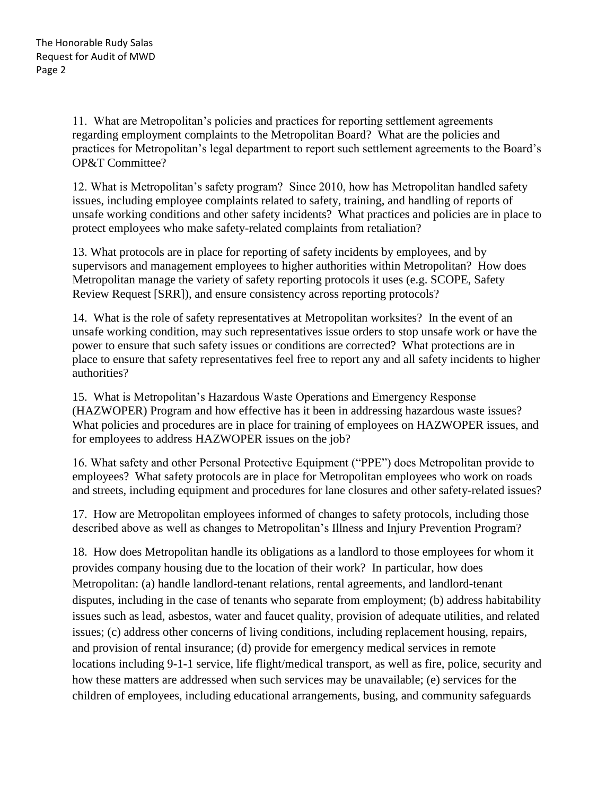11. What are Metropolitan's policies and practices for reporting settlement agreements regarding employment complaints to the Metropolitan Board? What are the policies and practices for Metropolitan's legal department to report such settlement agreements to the Board's OP&T Committee?

12. What is Metropolitan's safety program? Since 2010, how has Metropolitan handled safety issues, including employee complaints related to safety, training, and handling of reports of unsafe working conditions and other safety incidents? What practices and policies are in place to protect employees who make safety-related complaints from retaliation?

13. What protocols are in place for reporting of safety incidents by employees, and by supervisors and management employees to higher authorities within Metropolitan? How does Metropolitan manage the variety of safety reporting protocols it uses (e.g. SCOPE, Safety Review Request [SRR]), and ensure consistency across reporting protocols?

14. What is the role of safety representatives at Metropolitan worksites? In the event of an unsafe working condition, may such representatives issue orders to stop unsafe work or have the power to ensure that such safety issues or conditions are corrected? What protections are in place to ensure that safety representatives feel free to report any and all safety incidents to higher authorities?

15. What is Metropolitan's Hazardous Waste Operations and Emergency Response (HAZWOPER) Program and how effective has it been in addressing hazardous waste issues? What policies and procedures are in place for training of employees on HAZWOPER issues, and for employees to address HAZWOPER issues on the job?

16. What safety and other Personal Protective Equipment ("PPE") does Metropolitan provide to employees? What safety protocols are in place for Metropolitan employees who work on roads and streets, including equipment and procedures for lane closures and other safety-related issues?

17. How are Metropolitan employees informed of changes to safety protocols, including those described above as well as changes to Metropolitan's Illness and Injury Prevention Program?

18. How does Metropolitan handle its obligations as a landlord to those employees for whom it provides company housing due to the location of their work? In particular, how does Metropolitan: (a) handle landlord-tenant relations, rental agreements, and landlord-tenant disputes, including in the case of tenants who separate from employment; (b) address habitability issues such as lead, asbestos, water and faucet quality, provision of adequate utilities, and related issues; (c) address other concerns of living conditions, including replacement housing, repairs, and provision of rental insurance; (d) provide for emergency medical services in remote locations including 9-1-1 service, life flight/medical transport, as well as fire, police, security and how these matters are addressed when such services may be unavailable; (e) services for the children of employees, including educational arrangements, busing, and community safeguards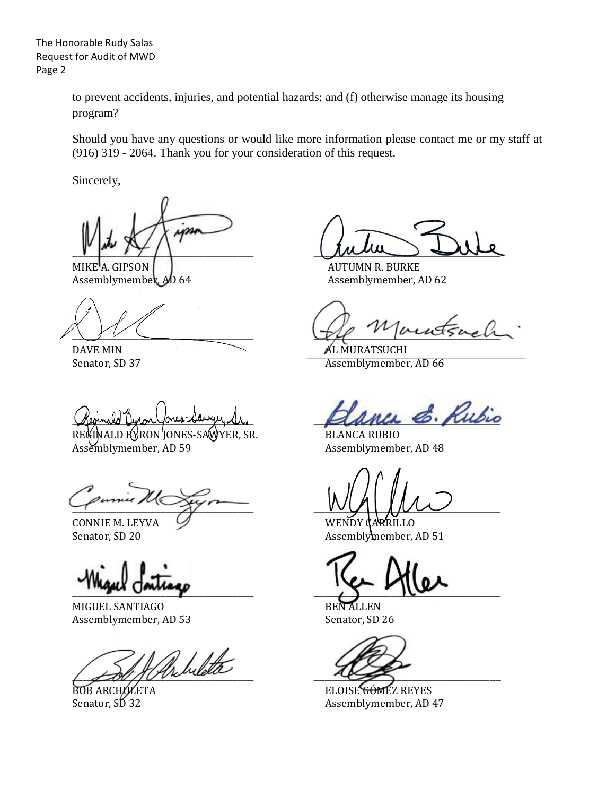The Honorable Rudy Salas Request for Audit of MWD Page 2

> to prevent accidents, injuries, and potential hazards; and (f) otherwise manage its housing program?

Should you have any questions or would like more information please contact me or my staff at (916) 319 - 2064. Thank you for your consideration of this request.

Sincerely,

ips

MIKE<sup>'</sup>A. GIPSON **AUTUMN R. BURKE** Assemblymember, AD 64 Assemblymember, AD 62

REGINALD BYRON JONES-SAWYER, SR. BLANCA RUBIO Assemblymember, AD 59 Assemblymember, AD 48

 $\frac{1}{\sqrt{2}}$ 

MIGUEL SANTIAGO BEN ALLEN Assemblymember, AD 53 Senator, SD 26

Arhileta

 $\mu_{\mu}, \mu_{\tau}$ 

 $U$ 

DAVE MIN AL MURATSUCHI Senator, SD 37 Assemblymember, AD 66

anca E. Rubio

CONNIE M. LEYVA V WENDY CARRILLO Senator, SD 20 Assemblymember, AD 51

 $\frac{1}{2}$ 

BOB ARCHULETA ELOISE GÓMEZ REYES Assemblymember, AD 47